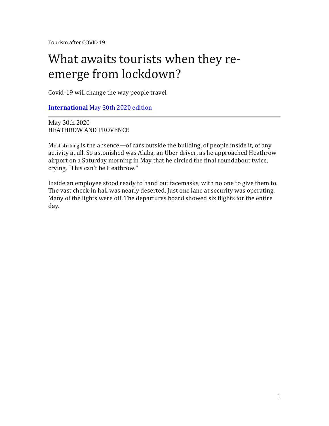Tourism after COVID 19

## What awaits tourists when they reemerge from lockdown?

Covid-19 will change the way people travel

**[International](https://www.economist.com/international/)** May 30th 2020 [edition](https://www.economist.com/printedition/2020-05-30)

May 30th 2020 HEATHROW AND PROVENCE

Most striking is the absence—of cars outside the building, of people inside it, of any activity at all. So astonished was Alaba, an Uber driver, as he approached Heathrow airport on a Saturday morning in May that he circled the final roundabout twice, crying, "This can't be Heathrow."

Inside an employee stood ready to hand out facemasks, with no one to give them to. The vast check-in hall was nearly deserted. Just one lane at security was operating. Many of the lights were off. The departures board showed six flights for the entire day.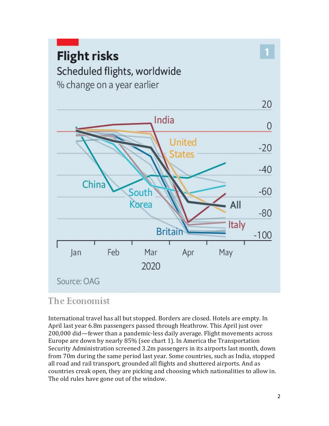

#### The Economist

International travel has all but stopped. Borders are closed. Hotels are empty. In April last year 6.8m passengers passed through Heathrow. This April just over 200,000 did—fewer than a pandemic-less daily average. Flight movements across Europe are down by nearly 85% (see chart 1). In America the Transportation Security Administration screened 3.2m passengers in its airports last month, down from 70m during the same period last year. Some countries, such as India, stopped all road and rail transport, grounded all flights and shuttered airports. And as countries creak open, they are picking and choosing which nationalities to allow in. The old rules have gone out of the window.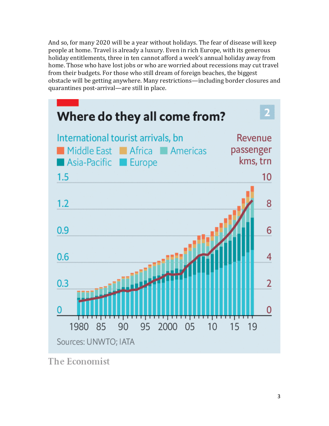And so, for many 2020 will be a year without holidays. The fear of disease will keep people at home. Travel is already a luxury. Even in rich Europe, with its generous holiday entitlements, three in ten cannot afford a week's annual holiday away from home. Those who have lost jobs or who are worried about recessions may cut travel from their budgets. For those who still dream of foreign beaches, the biggest obstacle will be getting anywhere. Many restrictions—including border closures and quarantines post-arrival—are still in place.



The Economist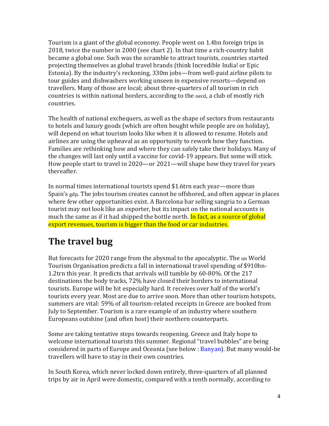Tourism is a giant of the global economy. People went on 1.4bn foreign trips in 2018, twice the number in 2000 (see chart 2). In that time a rich-country habit became a global one. Such was the scramble to attract tourists, countries started projecting themselves as global travel brands (think Incredible India! or Epic Estonia). By the industry's reckoning, 330m jobs—from well-paid airline pilots to tour guides and dishwashers working unseen in expensive resorts—depend on travellers. Many of those are local; about three-quarters of all tourism in rich countries is within national borders, according to the oecd, a club of mostly rich countries.

The health of national exchequers, as well as the shape of sectors from restaurants to hotels and luxury goods (which are often bought while people are on holiday), will depend on what tourism looks like when it is allowed to resume. Hotels and airlines are using the upheaval as an opportunity to rework how they function. Families are rethinking how and where they can safely take their holidays. Many of the changes will last only until a vaccine for covid-19 appears. But some will stick. How people start to travel in 2020—or 2021—will shape how they travel for years thereafter.

In normal times international tourists spend \$1.6trn each year—more than Spain's gdp. The jobs tourism creates cannot be offshored, and often appear in places where few other opportunities exist. A Barcelona bar selling sangria to a German tourist may not look like an exporter, but its impact on the national accounts is much the same as if it had shipped the bottle north. In fact, as a source of global export revenues, tourism is bigger than the food or car industries.

### **The travel bug**

But forecasts for 2020 range from the abysmal to the apocalyptic. The un World Tourism Organisation predicts a fall in international travel spending of \$910bn-1.2trn this year. It predicts that arrivals will tumble by 60-80%. Of the 217 destinations the body tracks, 72% have closed their borders to international tourists. Europe will be hit especially hard. It receives over half of the world's tourists every year. Most are due to arrive soon. More than other tourism hotspots, summers are vital: 59% of all tourism-related receipts in Greece are booked from July to September. Tourism is a rare example of an industry where southern Europeans outshine (and often host) their northern counterparts.

Some are taking tentative steps towards reopening. Greece and Italy hope to welcome international tourists this summer. Regional "travel bubbles" are being considered in parts of Europe and Oceania (see below : [Banyan\)](https://www.economist.com/asia/2020/05/28/asian-countries-try-to-build-travel-bubbles). But many would-be travellers will have to stay in their own countries.

In South Korea, which never locked down entirely, three-quarters of all planned trips by air in April were domestic, compared with a tenth normally, according to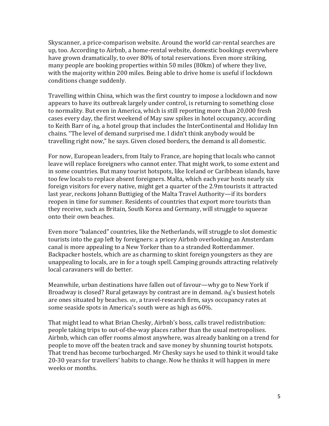Skyscanner, a price-comparison website. Around the world car-rental searches are up, too. According to Airbnb, a home-rental website, domestic bookings everywhere have grown dramatically, to over 80% of total reservations. Even more striking, many people are booking properties within 50 miles (80km) of where they live, with the majority within 200 miles. Being able to drive home is useful if lockdown conditions change suddenly.

Travelling within China, which was the first country to impose a lockdown and now appears to have its outbreak largely under control, is returning to something close to normality. But even in America, which is still reporting more than 20,000 fresh cases every day, the first weekend of May saw spikes in hotel occupancy, according to Keith Barr of ihg, a hotel group that includes the InterContinental and Holiday Inn chains. "The level of demand surprised me. I didn't think anybody would be travelling right now," he says. Given closed borders, the demand is all domestic.

For now, European leaders, from Italy to France, are hoping that locals who cannot leave will replace foreigners who cannot enter. That might work, to some extent and in some countries. But many tourist hotspots, like Iceland or Caribbean islands, have too few locals to replace absent foreigners. Malta, which each year hosts nearly six foreign visitors for every native, might get a quarter of the 2.9m tourists it attracted last year, reckons Johann Buttigieg of the Malta Travel Authority—if its borders reopen in time for summer. Residents of countries that export more tourists than they receive, such as Britain, South Korea and Germany, will struggle to squeeze onto their own beaches.

Even more "balanced" countries, like the Netherlands, will struggle to slot domestic tourists into the gap left by foreigners: a pricey Airbnb overlooking an Amsterdam canal is more appealing to a New Yorker than to a stranded Rotterdammer. Backpacker hostels, which are as charming to skint foreign youngsters as they are unappealing to locals, are in for a tough spell. Camping grounds attracting relatively local caravaners will do better.

Meanwhile, urban destinations have fallen out of favour—why go to New York if Broadway is closed? Rural getaways by contrast are in demand. ihg's busiest hotels are ones situated by beaches. str, a travel-research firm, says occupancy rates at some seaside spots in America's south were as high as 60%.

That might lead to what Brian Chesky, Airbnb's boss, calls travel redistribution: people taking trips to out-of-the-way places rather than the usual metropolises. Airbnb, which can offer rooms almost anywhere, was already banking on a trend for people to move off the beaten track and save money by shunning tourist hotspots. That trend has become turbocharged. Mr Chesky says he used to think it would take 20-30 years for travellers' habits to change. Now he thinks it will happen in mere weeks or months.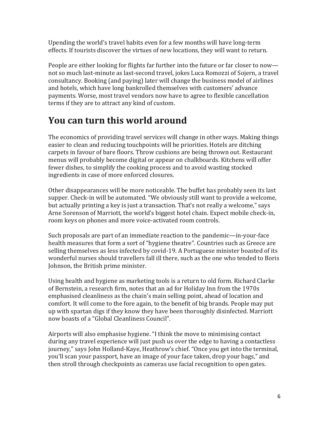Upending the world's travel habits even for a few months will have long-term effects. If tourists discover the virtues of new locations, they will want to return.

People are either looking for flights far further into the future or far closer to now not so much last-minute as last-second travel, jokes Luca Romozzi of Sojern, a travel consultancy. Booking (and paying) later will change the business model of airlines and hotels, which have long bankrolled themselves with customers' advance payments. Worse, most travel vendors now have to agree to flexible cancellation terms if they are to attract any kind of custom.

#### **You can turn this world around**

The economics of providing travel services will change in other ways. Making things easier to clean and reducing touchpoints will be priorities. Hotels are ditching carpets in favour of bare floors. Throw cushions are being thrown out. Restaurant menus will probably become digital or appear on chalkboards. Kitchens will offer fewer dishes, to simplify the cooking process and to avoid wasting stocked ingredients in case of more enforced closures.

Other disappearances will be more noticeable. The buffet has probably seen its last supper. Check-in will be automated. "We obviously still want to provide a welcome, but actually printing a key is just a transaction. That's not really a welcome," says Arne Sorenson of Marriott, the world's biggest hotel chain. Expect mobile check-in, room keys on phones and more voice-activated room controls.

Such proposals are part of an immediate reaction to the pandemic—in-your-face health measures that form a sort of "hygiene theatre". Countries such as Greece are selling themselves as less infected by covid-19. A Portuguese minister boasted of its wonderful nurses should travellers fall ill there, such as the one who tended to Boris Johnson, the British prime minister.

Using health and hygiene as marketing tools is a return to old form. Richard Clarke of Bernstein, a research firm, notes that an ad for Holiday Inn from the 1970s emphasised cleanliness as the chain's main selling point, ahead of location and comfort. It will come to the fore again, to the benefit of big brands. People may put up with spartan digs if they know they have been thoroughly disinfected. Marriott now boasts of a "Global Cleanliness Council".

Airports will also emphasise hygiene. "I think the move to minimising contact during any travel experience will just push us over the edge to having a contactless journey," says John Holland-Kaye, Heathrow's chief. "Once you get into the terminal, you'll scan your passport, have an image of your face taken, drop your bags," and then stroll through checkpoints as cameras use facial recognition to open gates.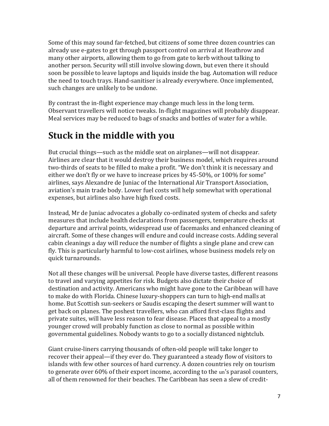Some of this may sound far-fetched, but citizens of some three dozen countries can already use e-gates to get through passport control on arrival at Heathrow and many other airports, allowing them to go from gate to kerb without talking to another person. Security will still involve slowing down, but even there it should soon be possible to leave laptops and liquids inside the bag. Automation will reduce the need to touch trays. Hand-sanitiser is already everywhere. Once implemented, such changes are unlikely to be undone.

By contrast the in-flight experience may change much less in the long term. Observant travellers will notice tweaks. In-flight magazines will probably disappear. Meal services may be reduced to bags of snacks and bottles of water for a while.

#### **Stuck in the middle with you**

But crucial things—such as the middle seat on airplanes—will not disappear. Airlines are clear that it would destroy their business model, which requires around two-thirds of seats to be filled to make a profit. "We don't think it is necessary and either we don't fly or we have to increase prices by 45-50%, or 100% for some" airlines, says Alexandre de Juniac of the International Air Transport Association, aviation's main trade body. Lower fuel costs will help somewhat with operational expenses, but airlines also have high fixed costs.

Instead, Mr de Juniac advocates a globally co-ordinated system of checks and safety measures that include health declarations from passengers, temperature checks at departure and arrival points, widespread use of facemasks and enhanced cleaning of aircraft. Some of these changes will endure and could increase costs. Adding several cabin cleanings a day will reduce the number of flights a single plane and crew can fly. This is particularly harmful to low-cost airlines, whose business models rely on quick turnarounds.

Not all these changes will be universal. People have diverse tastes, different reasons to travel and varying appetites for risk. Budgets also dictate their choice of destination and activity. Americans who might have gone to the Caribbean will have to make do with Florida. Chinese luxury-shoppers can turn to high-end malls at home. But Scottish sun-seekers or Saudis escaping the desert summer will want to get back on planes. The poshest travellers, who can afford first-class flights and private suites, will have less reason to fear disease. Places that appeal to a mostly younger crowd will probably function as close to normal as possible within governmental guidelines. Nobody wants to go to a socially distanced nightclub.

Giant cruise-liners carrying thousands of often-old people will take longer to recover their appeal—if they ever do. They guaranteed a steady flow of visitors to islands with few other sources of hard currency. A dozen countries rely on tourism to generate over 60% of their export income, according to the un's parasol counters, all of them renowned for their beaches. The Caribbean has seen a slew of credit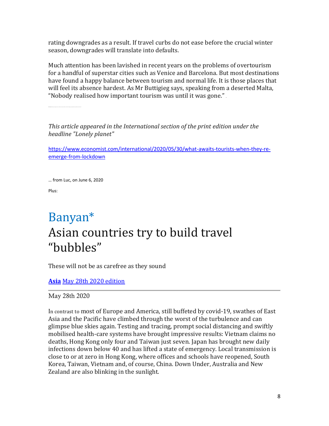rating downgrades as a result. If travel curbs do not ease before the crucial winter season, downgrades will translate into defaults.

Much attention has been lavished in recent years on the problems of overtourism for a handful of superstar cities such as Venice and Barcelona. But most destinations have found a happy balance between tourism and normal life. It is those places that will feel its absence hardest. As Mr Buttigieg says, speaking from a deserted Malta, "Nobody realised how important tourism was until it was gone."

*This article appeared in the International section of the print edition under the headline "Lonely planet"*

[https://www.economist.com/international/2020/05/30/what-awaits-tourists-when-they-re](https://www.economist.com/international/2020/05/30/what-awaits-tourists-when-they-re-emerge-from-lockdown)[emerge-from-lockdown](https://www.economist.com/international/2020/05/30/what-awaits-tourists-when-they-re-emerge-from-lockdown)

… from Luc, on June 6, 2020

Plus:

## Banyan\* Asian countries try to build travel "bubbles"

These will not be as carefree as they sound

**[Asia](https://www.economist.com/asia/)** May 28th 2020 [edition](https://www.economist.com/printedition/2020-05-30)

May 28th 2020

In contrast to most of Europe and America, still buffeted by covid-19, swathes of East Asia and the Pacific have climbed through the worst of the turbulence and can glimpse blue skies again. Testing and tracing, prompt social distancing and swiftly mobilised health-care systems have brought impressive results: Vietnam claims no deaths, Hong Kong only four and Taiwan just seven. Japan has brought new daily infections down below 40 and has lifted a state of emergency. Local transmission is close to or at zero in Hong Kong, where offices and schools have reopened, South Korea, Taiwan, Vietnam and, of course, China. Down Under, Australia and New Zealand are also blinking in the sunlight.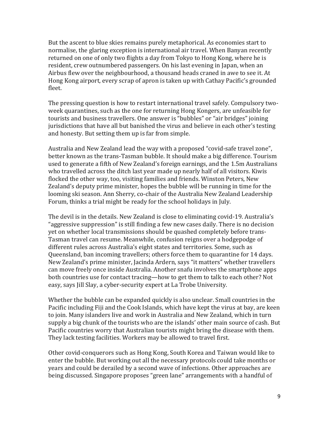But the ascent to blue skies remains purely metaphorical. As economies start to normalise, the glaring exception is international air travel. When Banyan recently returned on one of only two flights a day from Tokyo to Hong Kong, where he is resident, crew outnumbered passengers. On his last evening in Japan, when an Airbus flew over the neighbourhood, a thousand heads craned in awe to see it. At Hong Kong airport, every scrap of apron is taken up with Cathay Pacific's grounded fleet.

The pressing question is how to restart international travel safely. Compulsory twoweek quarantines, such as the one for returning Hong Kongers, are unfeasible for tourists and business travellers. One answer is "bubbles" or "air bridges" joining jurisdictions that have all but banished the virus and believe in each other's testing and honesty. But setting them up is far from simple.

Australia and New Zealand lead the way with a proposed "covid-safe travel zone", better known as the trans-Tasman bubble. It should make a big difference. Tourism used to generate a fifth of New Zealand's foreign earnings, and the 1.5m Australians who travelled across the ditch last year made up nearly half of all visitors. Kiwis flocked the other way, too, visiting families and friends. Winston Peters, New Zealand's deputy prime minister, hopes the bubble will be running in time for the looming ski season. Ann Sherry, co-chair of the Australia New Zealand Leadership Forum, thinks a trial might be ready for the school holidays in July.

The devil is in the details. New Zealand is close to eliminating covid-19. Australia's "aggressive suppression" is still finding a few new cases daily. There is no decision yet on whether local transmissions should be quashed completely before trans-Tasman travel can resume. Meanwhile, confusion reigns over a hodgepodge of different rules across Australia's eight states and territories. Some, such as Queensland, ban incoming travellers; others force them to quarantine for 14 days. New Zealand's prime minister, Jacinda Ardern, says "it matters" whether travellers can move freely once inside Australia. Another snafu involves the smartphone apps both countries use for contact tracing—how to get them to talk to each other? Not easy, says Jill Slay, a cyber-security expert at La Trobe University.

Whether the bubble can be expanded quickly is also unclear. Small countries in the Pacific including Fiji and the Cook Islands, which have kept the virus at bay, are keen to join. Many islanders live and work in Australia and New Zealand, which in turn supply a big chunk of the tourists who are the islands' other main source of cash. But Pacific countries worry that Australian tourists might bring the disease with them. They lack testing facilities. Workers may be allowed to travel first.

Other covid-conquerors such as Hong Kong, South Korea and Taiwan would like to enter the bubble. But working out all the necessary protocols could take months or years and could be derailed by a second wave of infections. Other approaches are being discussed. Singapore proposes "green lane" arrangements with a handful of